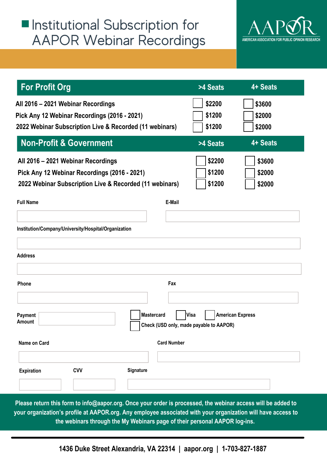#### $\blacksquare$  Institutional Subscription for AAPOR Webinar Recordings



| <b>For Profit Org</b>                                                                                        |                    | >4 Seats                                        | 4+ Seats                |
|--------------------------------------------------------------------------------------------------------------|--------------------|-------------------------------------------------|-------------------------|
| All 2016 - 2021 Webinar Recordings                                                                           |                    | \$2200                                          | \$3600                  |
| Pick Any 12 Webinar Recordings (2016 - 2021)                                                                 |                    | \$1200                                          | \$2000                  |
| 2022 Webinar Subscription Live & Recorded (11 webinars)                                                      |                    | \$1200                                          | \$2000                  |
| <b>Non-Profit &amp; Government</b>                                                                           |                    | >4 Seats                                        | 4+ Seats                |
| All 2016 - 2021 Webinar Recordings                                                                           |                    | \$2200                                          | \$3600                  |
| Pick Any 12 Webinar Recordings (2016 - 2021)                                                                 |                    | \$1200                                          | \$2000                  |
| 2022 Webinar Subscription Live & Recorded (11 webinars)                                                      |                    | \$1200                                          | \$2000                  |
| <b>Full Name</b>                                                                                             | E-Mail             |                                                 |                         |
|                                                                                                              |                    |                                                 |                         |
| Institution/Company/University/Hospital/Organization                                                         |                    |                                                 |                         |
| <b>Address</b>                                                                                               |                    |                                                 |                         |
| Phone                                                                                                        | Fax                |                                                 |                         |
| Payment<br><b>Amount</b>                                                                                     | <b>Mastercard</b>  | Visa<br>Check (USD only, made payable to AAPOR) | <b>American Express</b> |
| Name on Card                                                                                                 | <b>Card Number</b> |                                                 |                         |
| <b>Expiration</b><br><b>CVV</b>                                                                              | Signature          |                                                 |                         |
|                                                                                                              |                    |                                                 |                         |
| Please return this form to info@aapor.org. Once your order is processed, the webinar access will be added to |                    |                                                 |                         |

**your organization's profile at AAPOR.org. Any employee associated with your organization will have access to the webinars through the My Webinars page of their personal AAPOR log-ins.**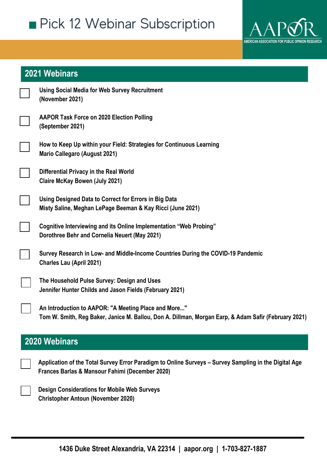

#### **2021 Webinars**

| <b>Using Social Media for Web Survey Recruitment</b><br>(November 2021)                                             |
|---------------------------------------------------------------------------------------------------------------------|
| <b>AAPOR Task Force on 2020 Election Polling</b><br>(September 2021)                                                |
| How to Keep Up within your Field: Strategies for Continuous Learning<br><b>Mario Callegaro (August 2021)</b>        |
| Differential Privacy in the Real World<br><b>Claire McKay Bowen (July 2021)</b>                                     |
| Using Designed Data to Correct for Errors in Big Data<br>Misty Saline, Meghan LePage Beeman & Kay Ricci (June 2021) |
| Cognitive Interviewing and its Online Implementation "Web Probing"<br>Dorothree Behr and Cornelia Neuert (May 2021) |
| Survey Research in Low- and Middle-Income Countries During the COVID-19 Pandemic<br><b>Charles Lau (April 2021)</b> |
| The Household Pulse Survey: Design and Uses<br>Jennifer Hunter Childs and Jason Fields (February 2021)              |

**An Introduction to AAPOR: "A Meeting Place and More..." Tom W. Smith, Reg Baker, Janice M. Ballou, Don A. Dillman, Morgan Earp, & Adam Safir (February 2021)**

#### **2020 Webinars**

**Application of the Total Survey Error Paradigm to Online Surveys – Survey Sampling in the Digital Age Frances Barlas & Mansour Fahimi (December 2020)**

**Design Considerations for Mobile Web Surveys Christopher Antoun (November 2020)**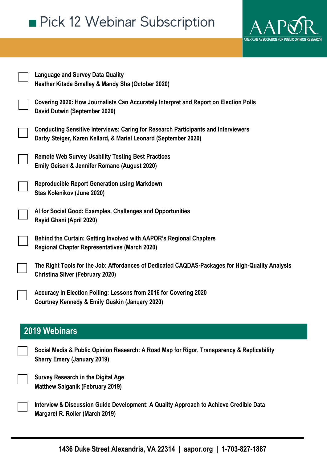

| <b>Language and Survey Data Quality</b><br>Heather Kitada Smalley & Mandy Sha (October 2020)                                                                 |
|--------------------------------------------------------------------------------------------------------------------------------------------------------------|
| Covering 2020: How Journalists Can Accurately Interpret and Report on Election Polls<br>David Dutwin (September 2020)                                        |
| <b>Conducting Sensitive Interviews: Caring for Research Participants and Interviewers</b><br>Darby Steiger, Karen Kellard, & Mariel Leonard (September 2020) |
| <b>Remote Web Survey Usability Testing Best Practices</b><br>Emily Geisen & Jennifer Romano (August 2020)                                                    |
| <b>Reproducible Report Generation using Markdown</b><br>Stas Kolenikov (June 2020)                                                                           |
| Al for Social Good: Examples, Challenges and Opportunities<br>Rayid Ghani (April 2020)                                                                       |
| Behind the Curtain: Getting Involved with AAPOR's Regional Chapters<br><b>Regional Chapter Representatives (March 2020)</b>                                  |
| The Right Tools for the Job: Affordances of Dedicated CAQDAS-Packages for High-Quality Analysis<br><b>Christina Silver (February 2020)</b>                   |
| Accuracy in Election Polling: Lessons from 2016 for Covering 2020<br><b>Courtney Kennedy &amp; Emily Guskin (January 2020)</b>                               |
| <b>2019 Webinars</b>                                                                                                                                         |
|                                                                                                                                                              |
| Social Media & Public Opinion Research: A Road Map for Rigor, Transparency & Replicability<br><b>Sherry Emery (January 2019)</b>                             |
| <b>Survey Research in the Digital Age</b><br><b>Matthew Salganik (February 2019)</b>                                                                         |
| Interview & Discussion Guide Development: A Quality Approach to Achieve Credible Data                                                                        |

**Margaret R. Roller (March 2019)**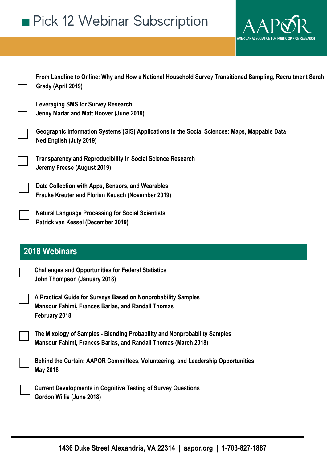

| From Landline to Online: Why and How a National Household Survey Transitioned Sampling, Recruitment Sarah<br>Grady (April 2019)              |
|----------------------------------------------------------------------------------------------------------------------------------------------|
| <b>Leveraging SMS for Survey Research</b><br>Jenny Marlar and Matt Hoover (June 2019)                                                        |
| Geographic Information Systems (GIS) Applications in the Social Sciences: Maps, Mappable Data<br>Ned English (July 2019)                     |
| <b>Transparency and Reproducibility in Social Science Research</b><br>Jeremy Freese (August 2019)                                            |
| Data Collection with Apps, Sensors, and Wearables<br>Frauke Kreuter and Florian Keusch (November 2019)                                       |
| <b>Natural Language Processing for Social Scientists</b><br>Patrick van Kessel (December 2019)                                               |
|                                                                                                                                              |
| 2018 Webinars                                                                                                                                |
| <b>Challenges and Opportunities for Federal Statistics</b><br>John Thompson (January 2018)                                                   |
| A Practical Guide for Surveys Based on Nonprobability Samples<br><b>Mansour Fahimi, Frances Barlas, and Randall Thomas</b><br>February 2018  |
| The Mixology of Samples - Blending Probability and Nonprobability Samples<br>Mansour Fahimi, Frances Barlas, and Randall Thomas (March 2018) |
| Behind the Curtain: AAPOR Committees, Volunteering, and Leadership Opportunities<br><b>May 2018</b>                                          |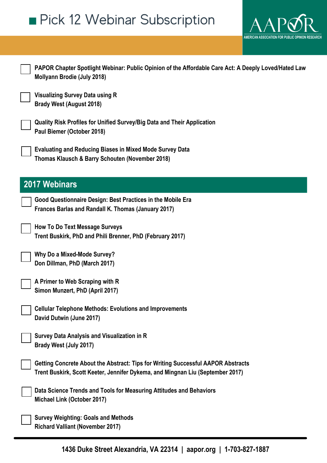

| PAPOR Chapter Spotlight Webinar: Public Opinion of the Affordable Care Act: A Deeply Loved/Hated Law<br><b>Mollyann Brodie (July 2018)</b>                         |
|--------------------------------------------------------------------------------------------------------------------------------------------------------------------|
| <b>Visualizing Survey Data using R</b><br><b>Brady West (August 2018)</b>                                                                                          |
| Quality Risk Profiles for Unified Survey/Big Data and Their Application<br>Paul Biemer (October 2018)                                                              |
| <b>Evaluating and Reducing Biases in Mixed Mode Survey Data</b><br>Thomas Klausch & Barry Schouten (November 2018)                                                 |
| <b>2017 Webinars</b>                                                                                                                                               |
| Good Questionnaire Design: Best Practices in the Mobile Era<br>Frances Barlas and Randall K. Thomas (January 2017)                                                 |
| <b>How To Do Text Message Surveys</b><br>Trent Buskirk, PhD and Phili Brenner, PhD (February 2017)                                                                 |
| <b>Why Do a Mixed-Mode Survey?</b><br>Don Dillman, PhD (March 2017)                                                                                                |
| A Primer to Web Scraping with R<br>Simon Munzert, PhD (April 2017)                                                                                                 |
| <b>Cellular Telephone Methods: Evolutions and Improvements</b><br>David Dutwin (June 2017)                                                                         |
| <b>Survey Data Analysis and Visualization in R</b><br>Brady West (July 2017)                                                                                       |
| Getting Concrete About the Abstract: Tips for Writing Successful AAPOR Abstracts<br>Trent Buskirk, Scott Keeter, Jennifer Dykema, and Mingnan Liu (September 2017) |
| Data Science Trends and Tools for Measuring Attitudes and Behaviors<br>Michael Link (October 2017)                                                                 |
| <b>Survey Weighting: Goals and Methods</b><br><b>Richard Valliant (November 2017)</b>                                                                              |